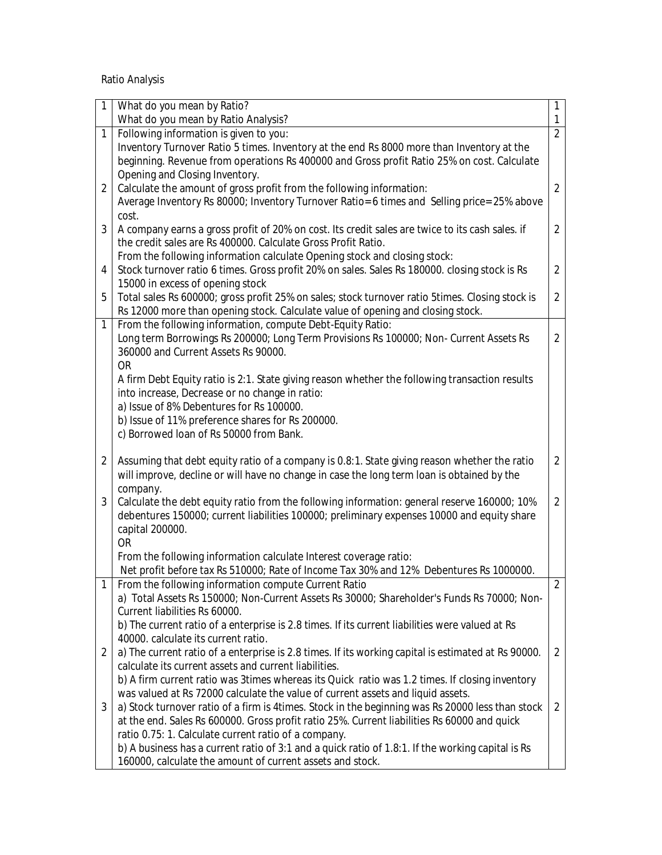Ratio Analysis

| 1              | What do you mean by Ratio?                                                                                                                                                              | 1                   |
|----------------|-----------------------------------------------------------------------------------------------------------------------------------------------------------------------------------------|---------------------|
|                | What do you mean by Ratio Analysis?                                                                                                                                                     | 1<br>$\overline{2}$ |
| 1              | Following information is given to you:                                                                                                                                                  |                     |
|                | Inventory Turnover Ratio 5 times. Inventory at the end Rs 8000 more than Inventory at the<br>beginning. Revenue from operations Rs 400000 and Gross profit Ratio 25% on cost. Calculate |                     |
|                |                                                                                                                                                                                         |                     |
| $\overline{2}$ | Opening and Closing Inventory.<br>Calculate the amount of gross profit from the following information:                                                                                  | $\overline{2}$      |
|                | Average Inventory Rs 80000; Inventory Turnover Ratio= 6 times and Selling price= 25% above                                                                                              |                     |
|                | cost.                                                                                                                                                                                   |                     |
| 3              | A company earns a gross profit of 20% on cost. Its credit sales are twice to its cash sales. if                                                                                         | $\overline{2}$      |
|                | the credit sales are Rs 400000. Calculate Gross Profit Ratio.                                                                                                                           |                     |
|                | From the following information calculate Opening stock and closing stock:                                                                                                               |                     |
| 4              | Stock turnover ratio 6 times. Gross profit 20% on sales. Sales Rs 180000. closing stock is Rs                                                                                           | $\overline{2}$      |
|                | 15000 in excess of opening stock                                                                                                                                                        |                     |
| 5              | Total sales Rs 600000; gross profit 25% on sales; stock turnover ratio 5times. Closing stock is                                                                                         | $\overline{2}$      |
|                | Rs 12000 more than opening stock. Calculate value of opening and closing stock.                                                                                                         |                     |
| $\mathbf{1}$   | From the following information, compute Debt-Equity Ratio:                                                                                                                              |                     |
|                | Long term Borrowings Rs 200000; Long Term Provisions Rs 100000; Non- Current Assets Rs                                                                                                  | $\overline{2}$      |
|                | 360000 and Current Assets Rs 90000.                                                                                                                                                     |                     |
|                | <b>OR</b>                                                                                                                                                                               |                     |
|                | A firm Debt Equity ratio is 2:1. State giving reason whether the following transaction results                                                                                          |                     |
|                | into increase, Decrease or no change in ratio:                                                                                                                                          |                     |
|                | a) Issue of 8% Debentures for Rs 100000.                                                                                                                                                |                     |
|                | b) Issue of 11% preference shares for Rs 200000.                                                                                                                                        |                     |
|                | c) Borrowed Ioan of Rs 50000 from Bank.                                                                                                                                                 |                     |
|                |                                                                                                                                                                                         |                     |
| $\overline{2}$ | Assuming that debt equity ratio of a company is 0.8:1. State giving reason whether the ratio                                                                                            | $\overline{2}$      |
|                | will improve, decline or will have no change in case the long term loan is obtained by the                                                                                              |                     |
|                | company.                                                                                                                                                                                |                     |
| 3              | Calculate the debt equity ratio from the following information: general reserve 160000; 10%                                                                                             | $\overline{2}$      |
|                | debentures 150000; current liabilities 100000; preliminary expenses 10000 and equity share                                                                                              |                     |
|                | capital 200000.                                                                                                                                                                         |                     |
|                | <b>OR</b>                                                                                                                                                                               |                     |
|                | From the following information calculate Interest coverage ratio:                                                                                                                       |                     |
|                | Net profit before tax Rs 510000; Rate of Income Tax 30% and 12% Debentures Rs 1000000.                                                                                                  |                     |
| 1              | From the following information compute Current Ratio                                                                                                                                    | $\overline{2}$      |
|                | a) Total Assets Rs 150000; Non-Current Assets Rs 30000; Shareholder's Funds Rs 70000; Non-                                                                                              |                     |
|                | Current liabilities Rs 60000.                                                                                                                                                           |                     |
|                | b) The current ratio of a enterprise is 2.8 times. If its current liabilities were valued at Rs                                                                                         |                     |
|                | 40000. calculate its current ratio.                                                                                                                                                     |                     |
| 2              | a) The current ratio of a enterprise is 2.8 times. If its working capital is estimated at Rs 90000.                                                                                     | 2                   |
|                | calculate its current assets and current liabilities.                                                                                                                                   |                     |
|                | b) A firm current ratio was 3times whereas its Quick ratio was 1.2 times. If closing inventory                                                                                          |                     |
|                | was valued at Rs 72000 calculate the value of current assets and liquid assets.                                                                                                         |                     |
| 3              | a) Stock turnover ratio of a firm is 4times. Stock in the beginning was Rs 20000 less than stock                                                                                        | 2                   |
|                | at the end. Sales Rs 600000. Gross profit ratio 25%. Current liabilities Rs 60000 and quick                                                                                             |                     |
|                | ratio 0.75: 1. Calculate current ratio of a company.                                                                                                                                    |                     |
|                | b) A business has a current ratio of 3:1 and a quick ratio of 1.8:1. If the working capital is Rs                                                                                       |                     |
|                | 160000, calculate the amount of current assets and stock.                                                                                                                               |                     |